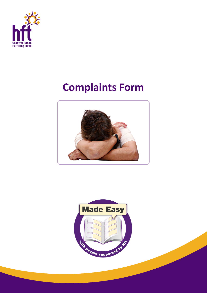

## **Complaints Form**



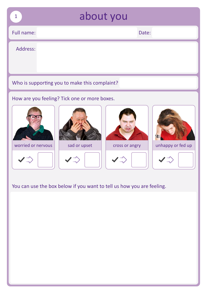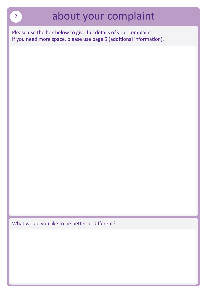Please use the box below to give full details of your complaint. If you need more space, please use page 5 (additional information).

What would you like to be better or different?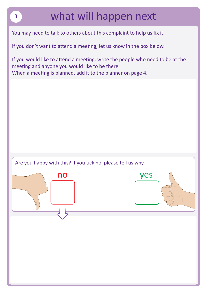## what will happen next

You may need to talk to others about this complaint to help us fix it.

If you don't want to attend a meeting, let us know in the box below.

If you would like to attend a meeting, write the people who need to be at the meeting and anyone you would like to be there. When a meeting is planned, add it to the planner on page 4.

Are you happy with this? If you tick no, please tell us why.



3